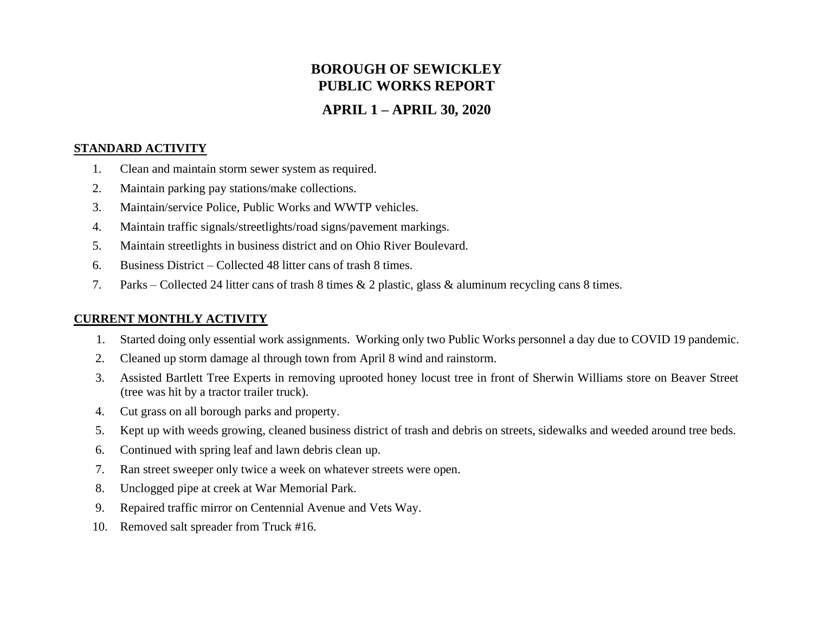# **BOROUGH OF SEWICKLEY PUBLIC WORKS REPORT**

## **APRIL 1 – APRIL 30, 2020**

#### **STANDARD ACTIVITY**

- 1. Clean and maintain storm sewer system as required.
- 2. Maintain parking pay stations/make collections.
- 3. Maintain/service Police, Public Works and WWTP vehicles.
- 4. Maintain traffic signals/streetlights/road signs/pavement markings.
- 5. Maintain streetlights in business district and on Ohio River Boulevard.
- 6. Business District Collected 48 litter cans of trash 8 times.
- 7. Parks Collected 24 litter cans of trash 8 times & 2 plastic, glass & aluminum recycling cans 8 times.

### **CURRENT MONTHLY ACTIVITY**

- 1. Started doing only essential work assignments. Working only two Public Works personnel a day due to COVID 19 pandemic.
- 2. Cleaned up storm damage al through town from April 8 wind and rainstorm.
- 3. Assisted Bartlett Tree Experts in removing uprooted honey locust tree in front of Sherwin Williams store on Beaver Street (tree was hit by a tractor trailer truck).
- 4. Cut grass on all borough parks and property.
- 5. Kept up with weeds growing, cleaned business district of trash and debris on streets, sidewalks and weeded around tree beds.
- 6. Continued with spring leaf and lawn debris clean up.
- 7. Ran street sweeper only twice a week on whatever streets were open.
- 8. Unclogged pipe at creek at War Memorial Park.
- 9. Repaired traffic mirror on Centennial Avenue and Vets Way.
- 10. Removed salt spreader from Truck #16.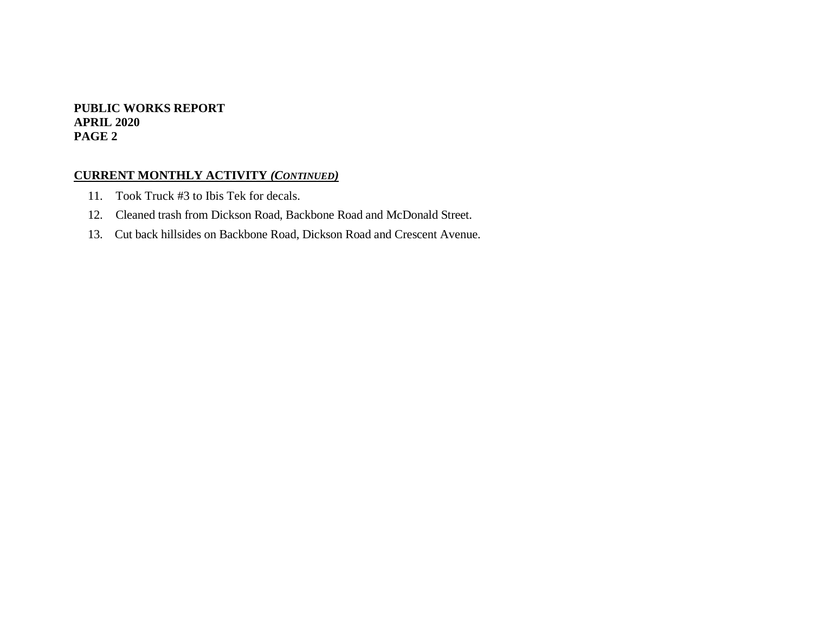#### **PUBLIC WORKS REPORT APRIL 2020 PAGE 2**

#### **CURRENT MONTHLY ACTIVITY** *(CONTINUED)*

- 11. Took Truck #3 to Ibis Tek for decals.
- 12. Cleaned trash from Dickson Road, Backbone Road and McDonald Street.
- 13. Cut back hillsides on Backbone Road, Dickson Road and Crescent Avenue.